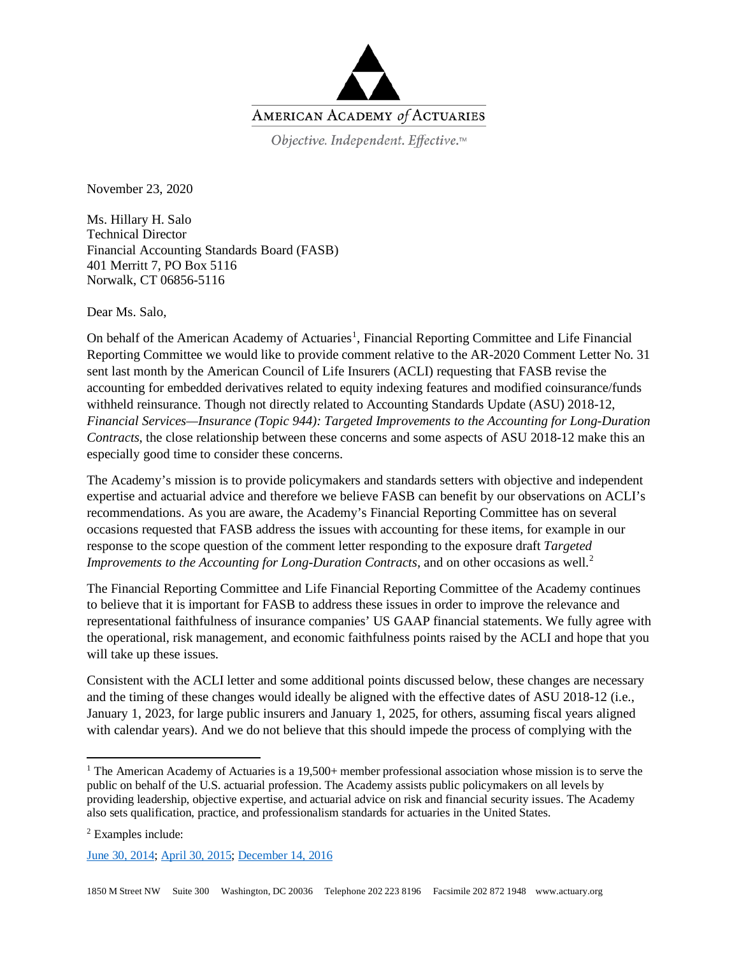

Objective. Independent. Effective.™

November 23, 2020

Ms. Hillary H. Salo Technical Director Financial Accounting Standards Board (FASB) 401 Merritt 7, PO Box 5116 Norwalk, CT 06856-5116

Dear Ms. Salo,

On behalf of the American Academy of Actuaries<sup>[1](#page-0-0)</sup>, Financial Reporting Committee and Life Financial Reporting Committee we would like to provide comment relative to the AR-2020 Comment Letter No. 31 sent last month by the American Council of Life Insurers (ACLI) requesting that FASB revise the accounting for embedded derivatives related to equity indexing features and modified coinsurance/funds withheld reinsurance. Though not directly related to Accounting Standards Update (ASU) 2018-12, *Financial Services—Insurance (Topic 944): Targeted Improvements to the Accounting for Long-Duration Contracts*, the close relationship between these concerns and some aspects of ASU 2018-12 make this an especially good time to consider these concerns.

The Academy's mission is to provide policymakers and standards setters with objective and independent expertise and actuarial advice and therefore we believe FASB can benefit by our observations on ACLI's recommendations. As you are aware, the Academy's Financial Reporting Committee has on several occasions requested that FASB address the issues with accounting for these items, for example in our response to the scope question of the comment letter responding to the exposure draft *Targeted Improvements to the Accounting for Long-Duration Contracts*, and on other occasions as well.<sup>[2](#page-0-1)</sup>

The Financial Reporting Committee and Life Financial Reporting Committee of the Academy continues to believe that it is important for FASB to address these issues in order to improve the relevance and representational faithfulness of insurance companies' US GAAP financial statements. We fully agree with the operational, risk management, and economic faithfulness points raised by the ACLI and hope that you will take up these issues.

Consistent with the ACLI letter and some additional points discussed below, these changes are necessary and the timing of these changes would ideally be aligned with the effective dates of ASU 2018-12 (i.e., January 1, 2023, for large public insurers and January 1, 2025, for others, assuming fiscal years aligned with calendar years). And we do not believe that this should impede the process of complying with the

<span id="page-0-1"></span><sup>2</sup> Examples include:

[June 30, 2014;](https://www.actuary.org/sites/default/files/files/AAA_letter_on_targeted_improvements_063014.pdf) [April 30, 2015;](https://www.actuary.org/sites/default/files/files/FRC_FASB_Hedging_Topic815_Comments_043015.pdf) [December 14, 2016](https://www.actuary.org/sites/default/files/files/publications/Academy_FASB_Long_Duration_Contracts_Comments_12142016.pdf)

<span id="page-0-0"></span><sup>&</sup>lt;sup>1</sup> The American Academy of Actuaries is a 19,500+ member professional association whose mission is to serve the public on behalf of the U.S. actuarial profession. The Academy assists public policymakers on all levels by providing leadership, objective expertise, and actuarial advice on risk and financial security issues. The Academy also sets qualification, practice, and professionalism standards for actuaries in the United States.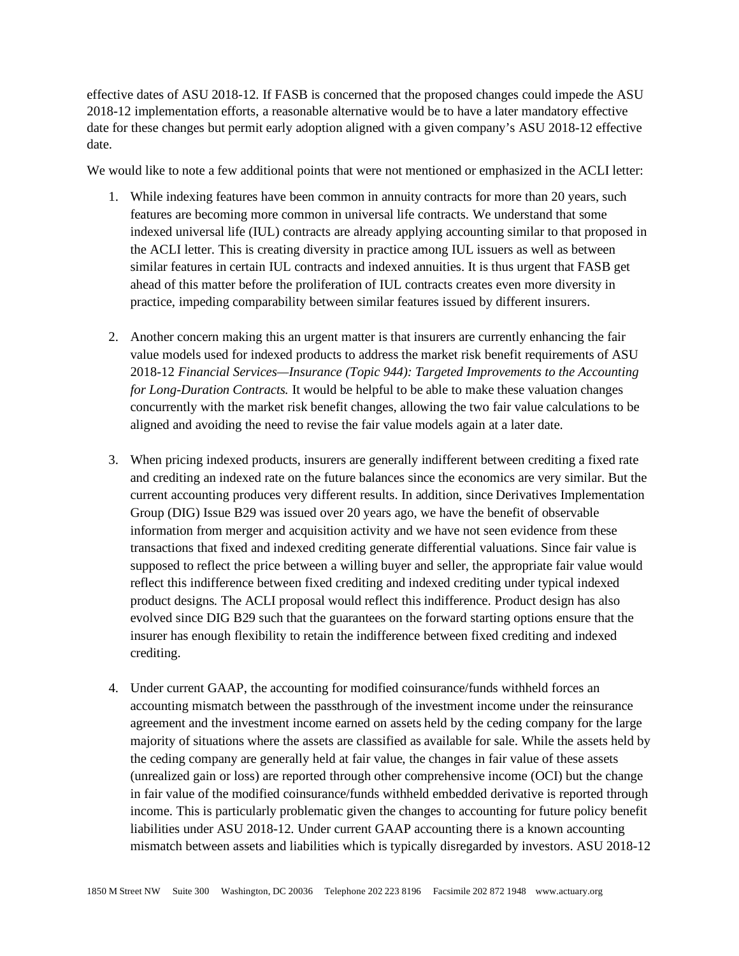effective dates of ASU 2018-12. If FASB is concerned that the proposed changes could impede the ASU 2018-12 implementation efforts, a reasonable alternative would be to have a later mandatory effective date for these changes but permit early adoption aligned with a given company's ASU 2018-12 effective date.

We would like to note a few additional points that were not mentioned or emphasized in the ACLI letter:

- 1. While indexing features have been common in annuity contracts for more than 20 years, such features are becoming more common in universal life contracts. We understand that some indexed universal life (IUL) contracts are already applying accounting similar to that proposed in the ACLI letter. This is creating diversity in practice among IUL issuers as well as between similar features in certain IUL contracts and indexed annuities. It is thus urgent that FASB get ahead of this matter before the proliferation of IUL contracts creates even more diversity in practice, impeding comparability between similar features issued by different insurers.
- 2. Another concern making this an urgent matter is that insurers are currently enhancing the fair value models used for indexed products to address the market risk benefit requirements of ASU 2018-12 *Financial Services—Insurance (Topic 944): Targeted Improvements to the Accounting for Long-Duration Contracts.* It would be helpful to be able to make these valuation changes concurrently with the market risk benefit changes, allowing the two fair value calculations to be aligned and avoiding the need to revise the fair value models again at a later date.
- 3. When pricing indexed products, insurers are generally indifferent between crediting a fixed rate and crediting an indexed rate on the future balances since the economics are very similar. But the current accounting produces very different results. In addition, since Derivatives Implementation Group (DIG) Issue B29 was issued over 20 years ago, we have the benefit of observable information from merger and acquisition activity and we have not seen evidence from these transactions that fixed and indexed crediting generate differential valuations. Since fair value is supposed to reflect the price between a willing buyer and seller, the appropriate fair value would reflect this indifference between fixed crediting and indexed crediting under typical indexed product designs. The ACLI proposal would reflect this indifference. Product design has also evolved since DIG B29 such that the guarantees on the forward starting options ensure that the insurer has enough flexibility to retain the indifference between fixed crediting and indexed crediting.
- 4. Under current GAAP, the accounting for modified coinsurance/funds withheld forces an accounting mismatch between the passthrough of the investment income under the reinsurance agreement and the investment income earned on assets held by the ceding company for the large majority of situations where the assets are classified as available for sale. While the assets held by the ceding company are generally held at fair value, the changes in fair value of these assets (unrealized gain or loss) are reported through other comprehensive income (OCI) but the change in fair value of the modified coinsurance/funds withheld embedded derivative is reported through income. This is particularly problematic given the changes to accounting for future policy benefit liabilities under ASU 2018-12. Under current GAAP accounting there is a known accounting mismatch between assets and liabilities which is typically disregarded by investors. ASU 2018-12